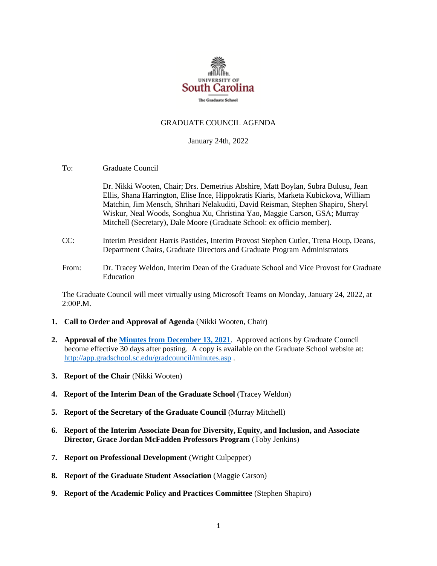

### GRADUATE COUNCIL AGENDA

January 24th, 2022

To: Graduate Council

Dr. Nikki Wooten, Chair; Drs. Demetrius Abshire, Matt Boylan, Subra Bulusu, Jean Ellis, Shana Harrington, Elise Ince, Hippokratis Kiaris, Marketa Kubickova, William Matchin, Jim Mensch, Shrihari Nelakuditi, David Reisman, Stephen Shapiro, Sheryl Wiskur, Neal Woods, Songhua Xu, Christina Yao, Maggie Carson, GSA; Murray Mitchell (Secretary), Dale Moore (Graduate School: ex officio member).

- CC: Interim President Harris Pastides, Interim Provost Stephen Cutler, Trena Houp, Deans, Department Chairs, Graduate Directors and Graduate Program Administrators
- From: Dr. Tracey Weldon, Interim Dean of the Graduate School and Vice Provost for Graduate Education

The Graduate Council will meet virtually using Microsoft Teams on Monday, January 24, 2022, at 2:00P.M.

- **1. Call to Order and Approval of Agenda** (Nikki Wooten, Chair)
- **2. Approval of th[e Minutes from December](GCMINUTES12.13.21%20MM%20w2%20GSA%20attachs.pdf) 13, 2021**. Approved actions by Graduate Council become effective 30 days after posting. A copy is available on the Graduate School website at: <http://app.gradschool.sc.edu/gradcouncil/minutes.asp> .
- **3. Report of the Chair** (Nikki Wooten)
- **4. Report of the Interim Dean of the Graduate School** (Tracey Weldon)
- **5. Report of the Secretary of the Graduate Council** (Murray Mitchell)
- **6. Report of the Interim Associate Dean for Diversity, Equity, and Inclusion, and Associate Director, Grace Jordan McFadden Professors Program** (Toby Jenkins)
- **7. Report on Professional Development** (Wright Culpepper)
- **8. Report of the Graduate Student Association** (Maggie Carson)
- **9. Report of the Academic Policy and Practices Committee** (Stephen Shapiro)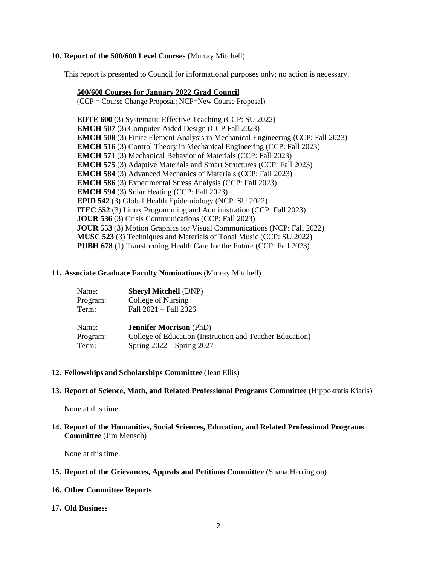## **10. Report of the 500/600 Level Courses** (Murray Mitchell)

This report is presented to Council for informational purposes only; no action is necessary.

## **500/600 Courses for January 2022 Grad Council**

(CCP = Course Change Proposal; NCP=New Course Proposal)

**EDTE 600** (3) Systematic Effective Teaching (CCP: SU 2022) **EMCH 507** (3) Computer-Aided Design (CCP Fall 2023) **EMCH 508** (3) Finite Element Analysis in Mechanical Engineering (CCP: Fall 2023) **EMCH 516** (3) Control Theory in Mechanical Engineering (CCP: Fall 2023) **EMCH 571** (3) Mechanical Behavior of Materials (CCP: Fall 2023) **EMCH 575** (3) Adaptive Materials and Smart Structures (CCP: Fall 2023) **EMCH 584** (3) Advanced Mechanics of Materials (CCP: Fall 2023) **EMCH 586** (3) Experimental Stress Analysis (CCP: Fall 2023) **EMCH 594** (3) Solar Heating (CCP: Fall 2023) **EPID 542** (3) Global Health Epidemiology (NCP: SU 2022) **ITEC 552** (3) Linux Programming and Administration (CCP: Fall 2023) **JOUR 536** (3) Crisis Communications (CCP: Fall 2023) **JOUR 553** (3) Motion Graphics for Visual Communications (NCP: Fall 2022) **MUSC 523** (3) Techniques and Materials of Tonal Music (CCP: SU 2022) **PUBH 678** (1) Transforming Health Care for the Future (CCP: Fall 2023)

## **11. Associate Graduate Faculty Nominations** (Murray Mitchell)

| Name:    | <b>Sheryl Mitchell (DNP)</b>                             |
|----------|----------------------------------------------------------|
| Program: | College of Nursing                                       |
| Term:    | Fall 2021 - Fall 2026                                    |
| Name:    | <b>Jennifer Morrison</b> (PhD)                           |
| Program: | College of Education (Instruction and Teacher Education) |
| Term:    | Spring $2022 -$ Spring 2027                              |

#### **12. Fellowships and Scholarships Committee** (Jean Ellis)

#### **13. Report of Science, Math, and Related Professional Programs Committee** (Hippokratis Kiaris)

None at this time.

# **14. Report of the Humanities, Social Sciences, Education, and Related Professional Programs Committee** (Jim Mensch)

None at this time.

## **15. Report of the Grievances, Appeals and Petitions Committee** (Shana Harrington)

# **16. Other Committee Reports**

#### **17. Old Business**